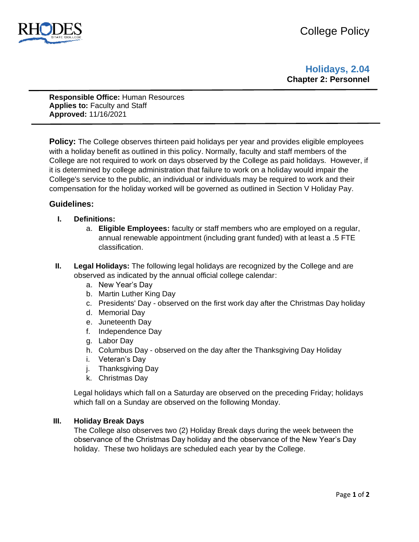

# **Holidays, 2.04 Chapter 2: Personnel**

**Responsible Office:** Human Resources **Applies to:** Faculty and Staff **Approved:** 11/16/2021

**Policy:** The College observes thirteen paid holidays per year and provides eligible employees with a holiday benefit as outlined in this policy. Normally, faculty and staff members of the College are not required to work on days observed by the College as paid holidays. However, if it is determined by college administration that failure to work on a holiday would impair the College's service to the public, an individual or individuals may be required to work and their compensation for the holiday worked will be governed as outlined in Section V Holiday Pay.

# **Guidelines:**

- **I. Definitions:** 
	- a. **Eligible Employees:** faculty or staff members who are employed on a regular, annual renewable appointment (including grant funded) with at least a .5 FTE classification.
- **II. Legal Holidays:** The following legal holidays are recognized by the College and are observed as indicated by the annual official college calendar:
	- a. New Year's Day
	- b. Martin Luther King Day
	- c. Presidents' Day observed on the first work day after the Christmas Day holiday
	- d. Memorial Day
	- e. Juneteenth Day
	- f. Independence Day
	- g. Labor Day
	- h. Columbus Day observed on the day after the Thanksgiving Day Holiday
	- i. Veteran's Day
	- j. Thanksgiving Day
	- k. Christmas Day

Legal holidays which fall on a Saturday are observed on the preceding Friday; holidays which fall on a Sunday are observed on the following Monday.

#### **III. Holiday Break Days**

The College also observes two (2) Holiday Break days during the week between the observance of the Christmas Day holiday and the observance of the New Year's Day holiday. These two holidays are scheduled each year by the College.